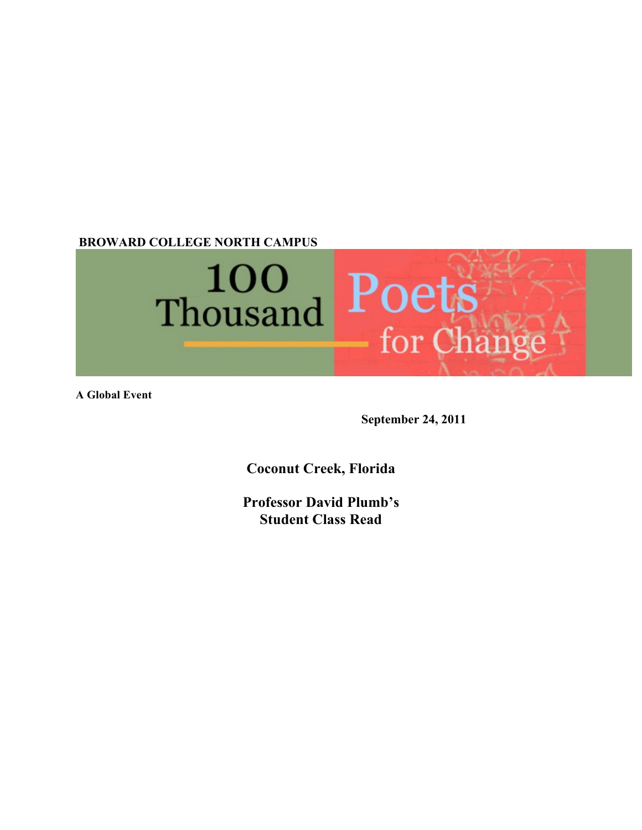**BROWARD COLLEGE NORTH CAMPUS** 



**A Global Event**

**September 24, 2011**

**Coconut Creek, Florida**

**Professor David Plumb's Student Class Read**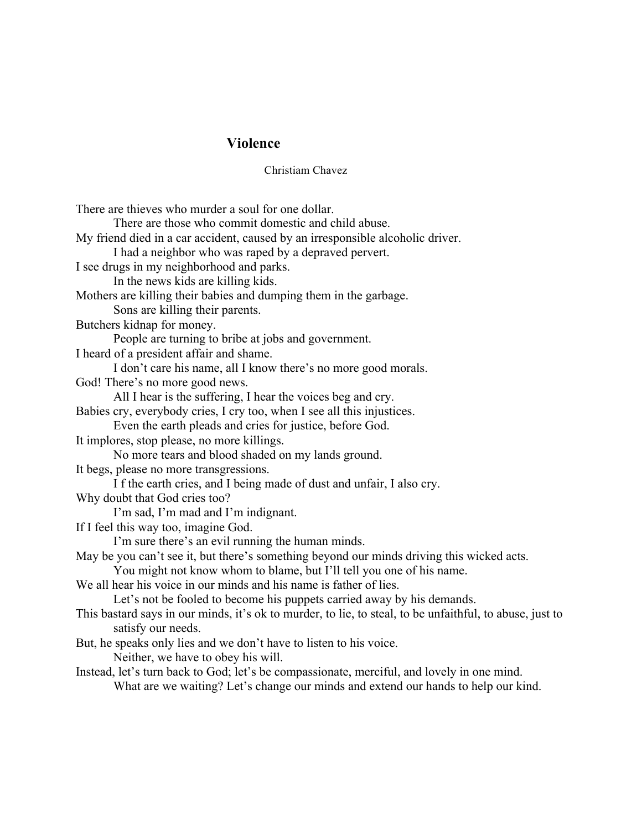## **Violence**

Christiam Chavez

There are thieves who murder a soul for one dollar. There are those who commit domestic and child abuse. My friend died in a car accident, caused by an irresponsible alcoholic driver. I had a neighbor who was raped by a depraved pervert. I see drugs in my neighborhood and parks. In the news kids are killing kids. Mothers are killing their babies and dumping them in the garbage. Sons are killing their parents. Butchers kidnap for money. People are turning to bribe at jobs and government. I heard of a president affair and shame. I don't care his name, all I know there's no more good morals. God! There's no more good news. All I hear is the suffering, I hear the voices beg and cry. Babies cry, everybody cries, I cry too, when I see all this injustices. Even the earth pleads and cries for justice, before God. It implores, stop please, no more killings. No more tears and blood shaded on my lands ground. It begs, please no more transgressions. I f the earth cries, and I being made of dust and unfair, I also cry. Why doubt that God cries too? I'm sad, I'm mad and I'm indignant. If I feel this way too, imagine God. I'm sure there's an evil running the human minds. May be you can't see it, but there's something beyond our minds driving this wicked acts. You might not know whom to blame, but I'll tell you one of his name. We all hear his voice in our minds and his name is father of lies. Let's not be fooled to become his puppets carried away by his demands. This bastard says in our minds, it's ok to murder, to lie, to steal, to be unfaithful, to abuse, just to satisfy our needs. But, he speaks only lies and we don't have to listen to his voice. Neither, we have to obey his will. Instead, let's turn back to God; let's be compassionate, merciful, and lovely in one mind. What are we waiting? Let's change our minds and extend our hands to help our kind.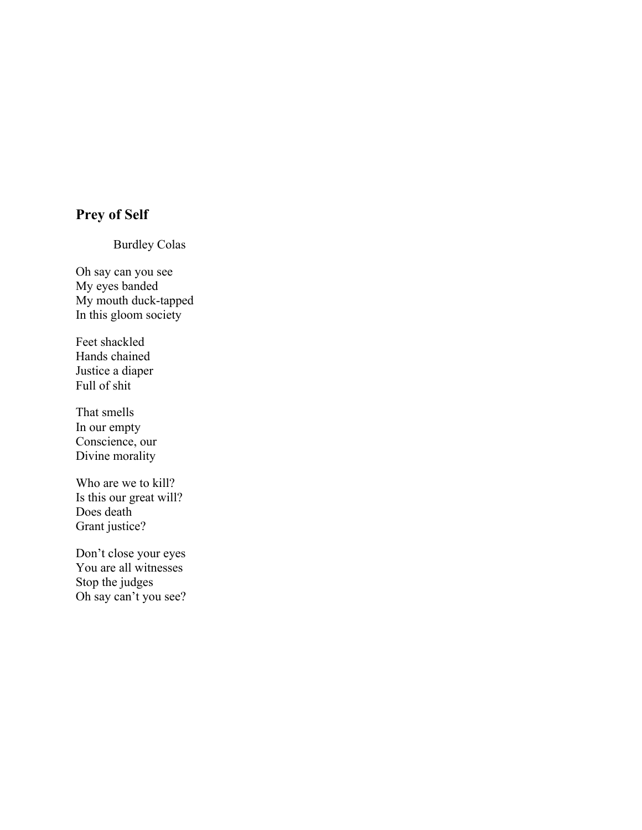# **Prey of Self**

Burdley Colas

Oh say can you see My eyes banded My mouth duck-tapped In this gloom society

Feet shackled Hands chained Justice a diaper Full of shit

That smells In our empty Conscience, our Divine morality

Who are we to kill? Is this our great will? Does death Grant justice?

Don't close your eyes You are all witnesses Stop the judges Oh say can't you see?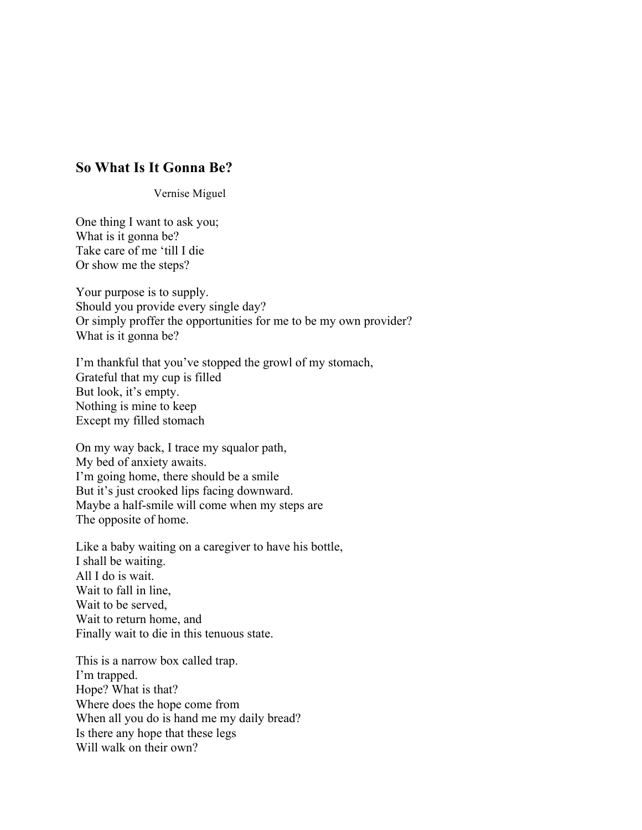# **So What Is It Gonna Be?**

Vernise Miguel

One thing I want to ask you; What is it gonna be? Take care of me 'till I die Or show me the steps?

Your purpose is to supply. Should you provide every single day? Or simply proffer the opportunities for me to be my own provider? What is it gonna be?

I'm thankful that you've stopped the growl of my stomach, Grateful that my cup is filled But look, it's empty. Nothing is mine to keep Except my filled stomach

On my way back, I trace my squalor path, My bed of anxiety awaits. I'm going home, there should be a smile But it's just crooked lips facing downward. Maybe a half-smile will come when my steps are The opposite of home.

Like a baby waiting on a caregiver to have his bottle, I shall be waiting. All I do is wait. Wait to fall in line, Wait to be served, Wait to return home, and Finally wait to die in this tenuous state.

This is a narrow box called trap. I'm trapped. Hope? What is that? Where does the hope come from When all you do is hand me my daily bread? Is there any hope that these legs Will walk on their own?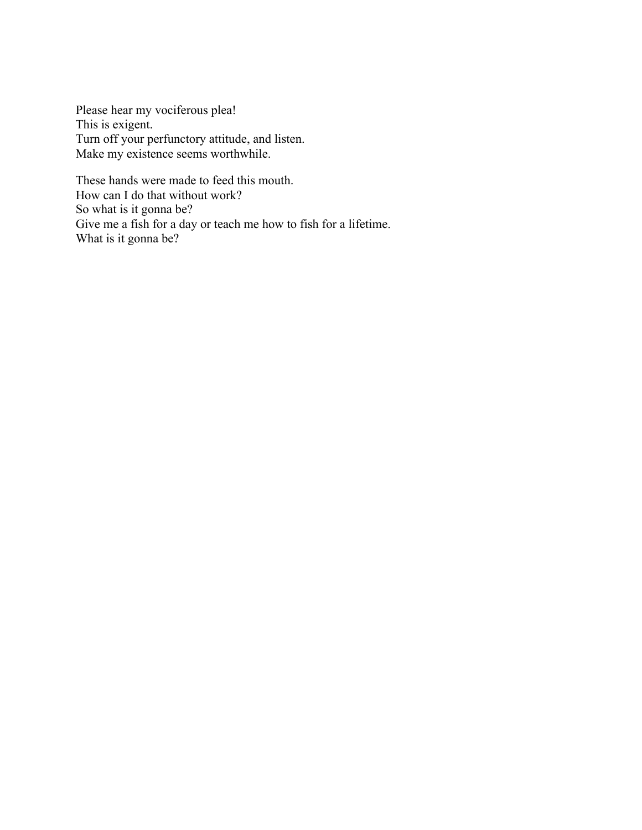Please hear my vociferous plea! This is exigent. Turn off your perfunctory attitude, and listen. Make my existence seems worthwhile.

These hands were made to feed this mouth. How can I do that without work? So what is it gonna be? Give me a fish for a day or teach me how to fish for a lifetime. What is it gonna be?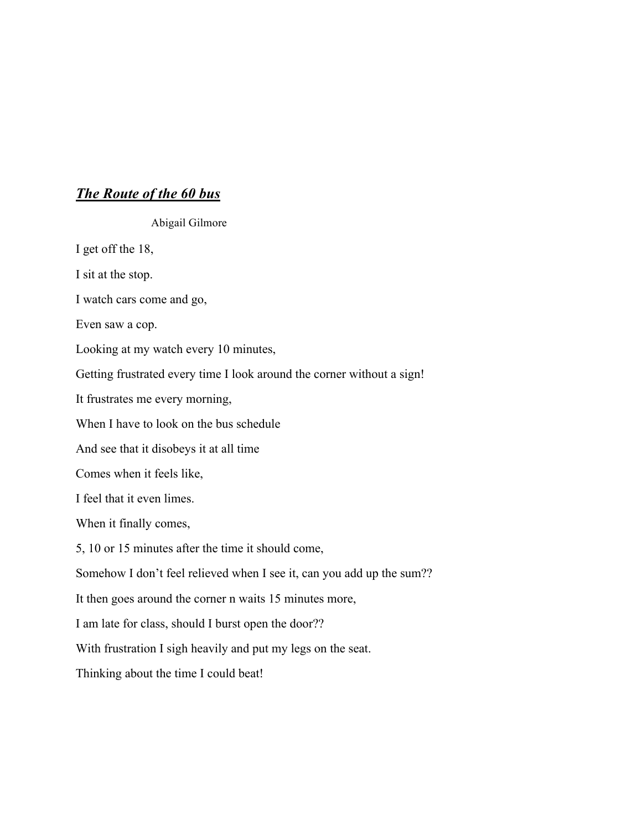# *The Route of the 60 bus*

Abigail Gilmore

I get off the 18,

I sit at the stop.

I watch cars come and go,

Even saw a cop.

Looking at my watch every 10 minutes,

Getting frustrated every time I look around the corner without a sign!

It frustrates me every morning,

When I have to look on the bus schedule

And see that it disobeys it at all time

Comes when it feels like,

I feel that it even limes.

When it finally comes,

5, 10 or 15 minutes after the time it should come,

Somehow I don't feel relieved when I see it, can you add up the sum??

It then goes around the corner n waits 15 minutes more,

I am late for class, should I burst open the door??

With frustration I sigh heavily and put my legs on the seat.

Thinking about the time I could beat!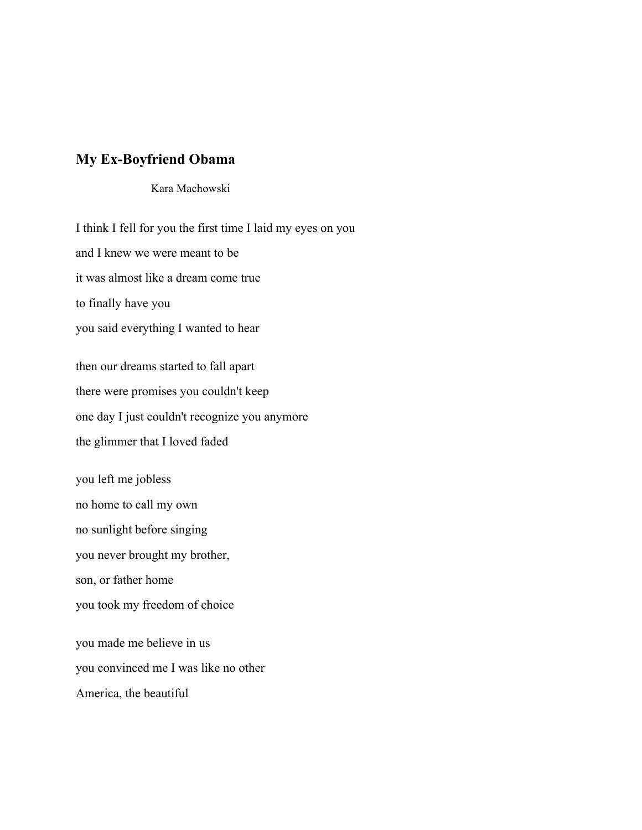# **My Ex-Boyfriend Obama**

### Kara Machowski

I think I fell for you the first time I laid my eyes on you and I knew we were meant to be it was almost like a dream come true to finally have you you said everything I wanted to hear then our dreams started to fall apart there were promises you couldn't keep one day I just couldn't recognize you anymore the glimmer that I loved faded you left me jobless no home to call my own no sunlight before singing you never brought my brother, son, or father home you took my freedom of choice you made me believe in us you convinced me I was like no other

America, the beautiful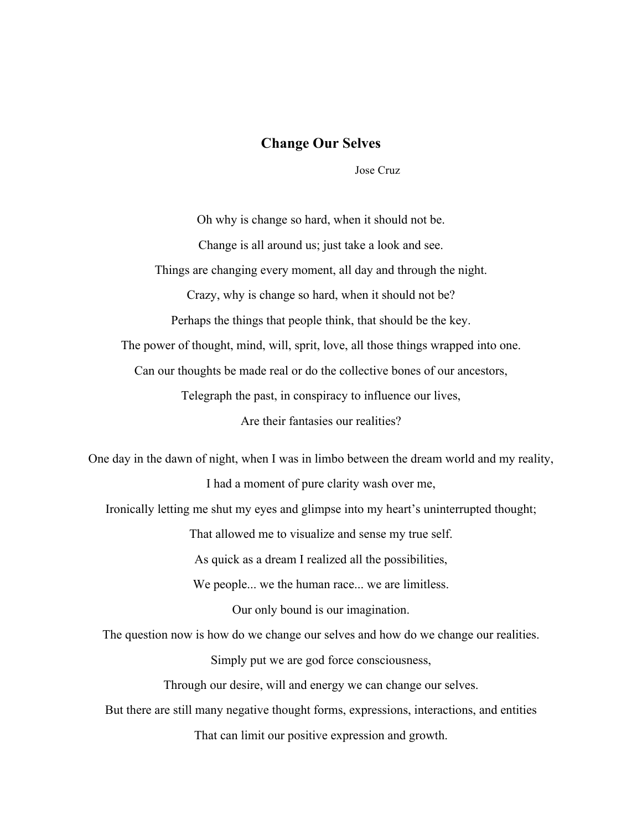### **Change Our Selves**

Jose Cruz

Oh why is change so hard, when it should not be. Change is all around us; just take a look and see. Things are changing every moment, all day and through the night. Crazy, why is change so hard, when it should not be? Perhaps the things that people think, that should be the key. The power of thought, mind, will, sprit, love, all those things wrapped into one. Can our thoughts be made real or do the collective bones of our ancestors, Telegraph the past, in conspiracy to influence our lives, Are their fantasies our realities? One day in the dawn of night, when I was in limbo between the dream world and my reality, I had a moment of pure clarity wash over me, Ironically letting me shut my eyes and glimpse into my heart's uninterrupted thought; That allowed me to visualize and sense my true self. As quick as a dream I realized all the possibilities, We people... we the human race... we are limitless. Our only bound is our imagination. The question now is how do we change our selves and how do we change our realities. Simply put we are god force consciousness, Through our desire, will and energy we can change our selves. But there are still many negative thought forms, expressions, interactions, and entities That can limit our positive expression and growth.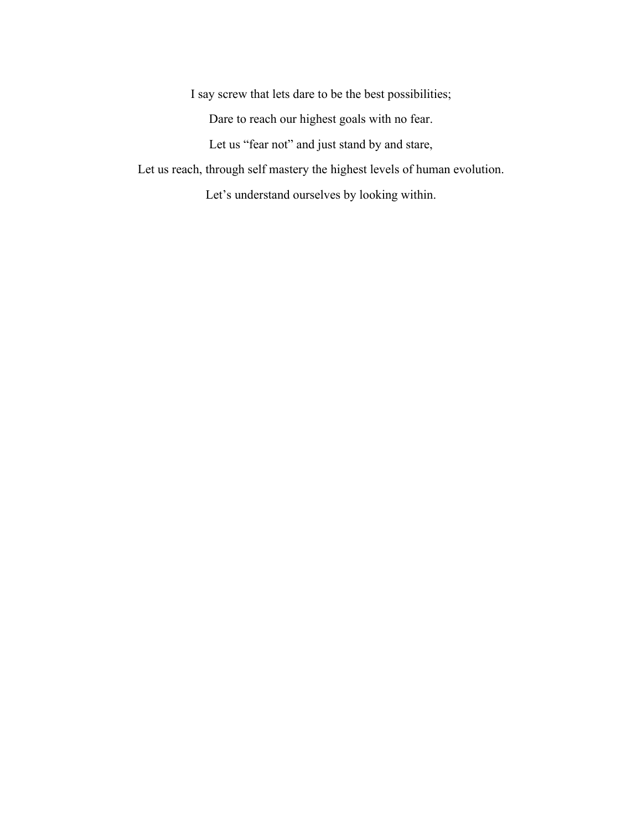I say screw that lets dare to be the best possibilities;

Dare to reach our highest goals with no fear.

Let us "fear not" and just stand by and stare,

Let us reach, through self mastery the highest levels of human evolution.

Let's understand ourselves by looking within.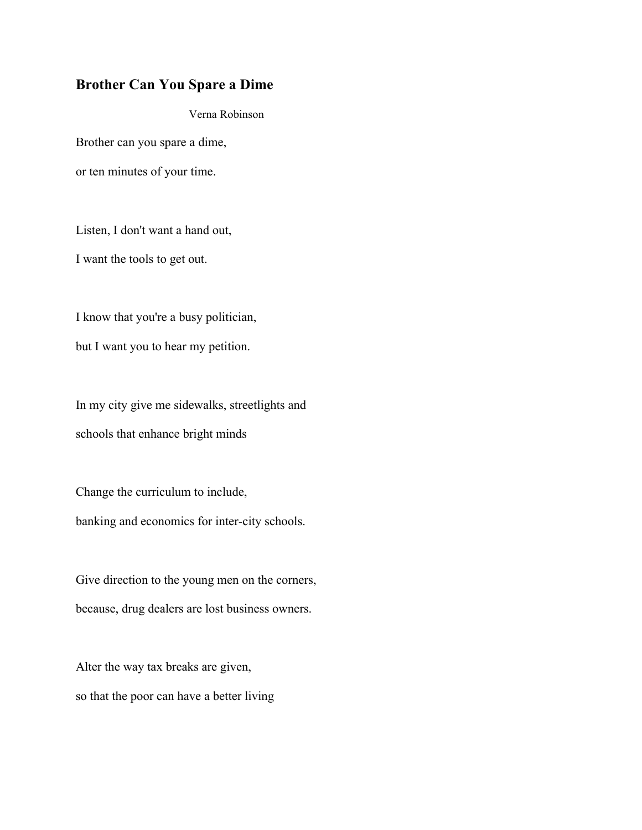# **Brother Can You Spare a Dime**

Verna Robinson

Brother can you spare a dime, or ten minutes of your time.

Listen, I don't want a hand out, I want the tools to get out.

I know that you're a busy politician, but I want you to hear my petition.

In my city give me sidewalks, streetlights and schools that enhance bright minds

Change the curriculum to include, banking and economics for inter-city schools.

Give direction to the young men on the corners, because, drug dealers are lost business owners.

Alter the way tax breaks are given, so that the poor can have a better living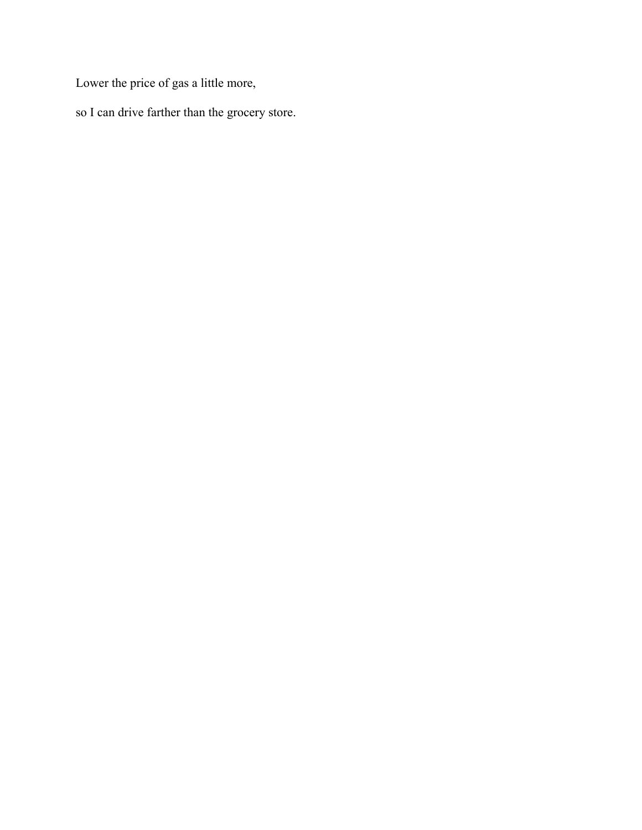Lower the price of gas a little more,

so I can drive farther than the grocery store.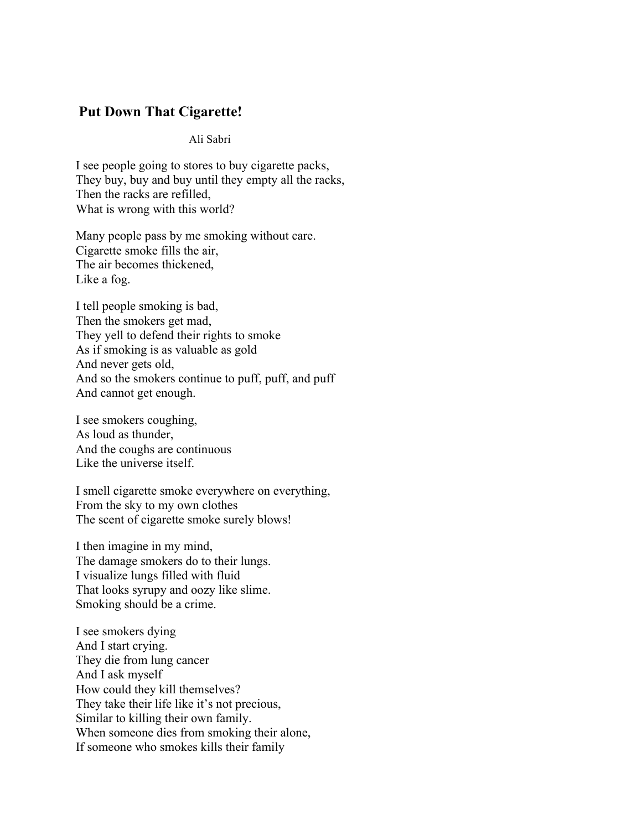# **Put Down That Cigarette!**

Ali Sabri

I see people going to stores to buy cigarette packs, They buy, buy and buy until they empty all the racks, Then the racks are refilled, What is wrong with this world?

Many people pass by me smoking without care. Cigarette smoke fills the air, The air becomes thickened, Like a fog.

I tell people smoking is bad, Then the smokers get mad, They yell to defend their rights to smoke As if smoking is as valuable as gold And never gets old, And so the smokers continue to puff, puff, and puff And cannot get enough.

I see smokers coughing, As loud as thunder, And the coughs are continuous Like the universe itself.

I smell cigarette smoke everywhere on everything, From the sky to my own clothes The scent of cigarette smoke surely blows!

I then imagine in my mind, The damage smokers do to their lungs. I visualize lungs filled with fluid That looks syrupy and oozy like slime. Smoking should be a crime.

I see smokers dying And I start crying. They die from lung cancer And I ask myself How could they kill themselves? They take their life like it's not precious, Similar to killing their own family. When someone dies from smoking their alone, If someone who smokes kills their family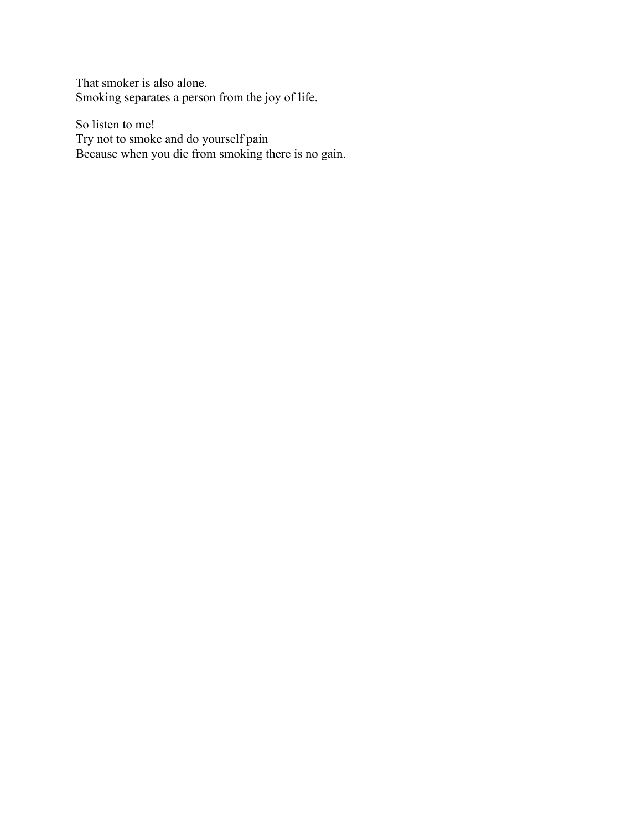That smoker is also alone. Smoking separates a person from the joy of life.

So listen to me! Try not to smoke and do yourself pain Because when you die from smoking there is no gain.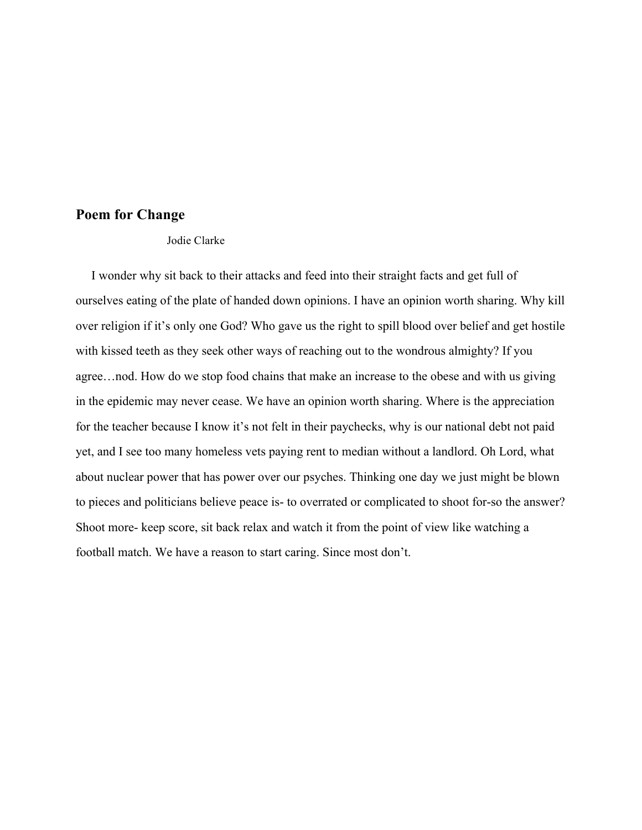## **Poem for Change**

Jodie Clarke

 I wonder why sit back to their attacks and feed into their straight facts and get full of ourselves eating of the plate of handed down opinions. I have an opinion worth sharing. Why kill over religion if it's only one God? Who gave us the right to spill blood over belief and get hostile with kissed teeth as they seek other ways of reaching out to the wondrous almighty? If you agree…nod. How do we stop food chains that make an increase to the obese and with us giving in the epidemic may never cease. We have an opinion worth sharing. Where is the appreciation for the teacher because I know it's not felt in their paychecks, why is our national debt not paid yet, and I see too many homeless vets paying rent to median without a landlord. Oh Lord, what about nuclear power that has power over our psyches. Thinking one day we just might be blown to pieces and politicians believe peace is- to overrated or complicated to shoot for-so the answer? Shoot more- keep score, sit back relax and watch it from the point of view like watching a football match. We have a reason to start caring. Since most don't.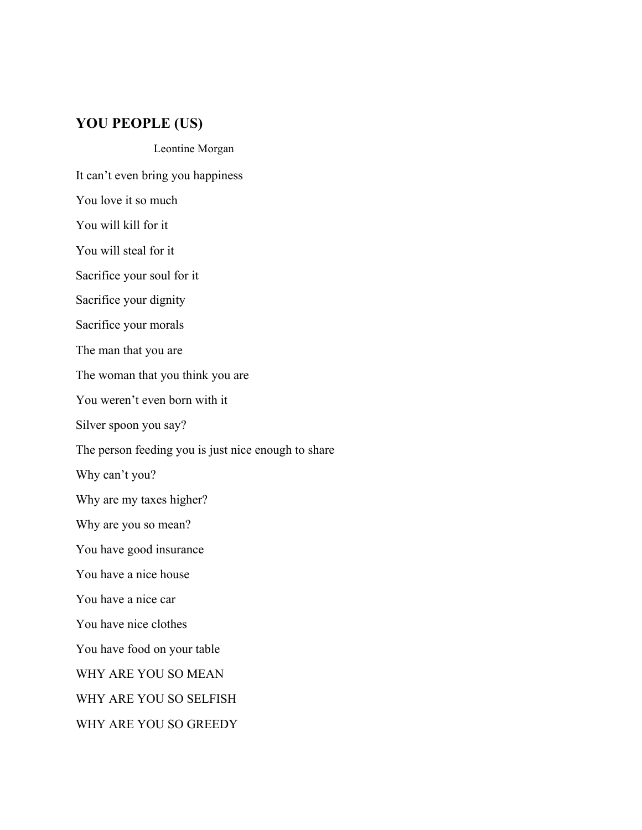# **YOU PEOPLE (US)**

#### Leontine Morgan

It can't even bring you happiness

You love it so much

You will kill for it

You will steal for it

Sacrifice your soul for it

Sacrifice your dignity

Sacrifice your morals

The man that you are

The woman that you think you are

You weren't even born with it

Silver spoon you say?

The person feeding you is just nice enough to share

Why can't you?

Why are my taxes higher?

Why are you so mean?

You have good insurance

You have a nice house

You have a nice car

You have nice clothes

You have food on your table

WHY ARE YOU SO MEAN

WHY ARE YOU SO SELFISH

WHY ARE YOU SO GREEDY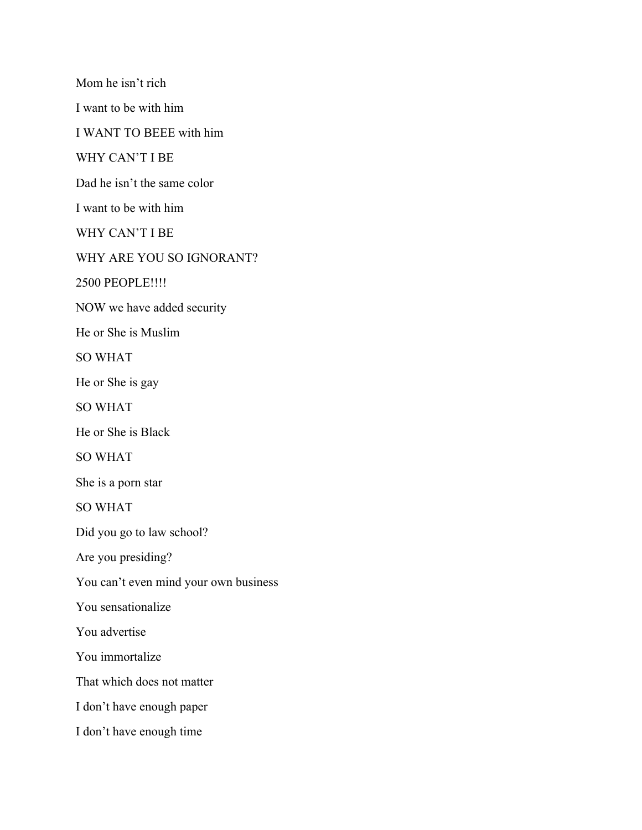Mom he isn't rich I want to be with him I WANT TO BEEE with him WHY CAN'T I BE Dad he isn't the same color I want to be with him WHY CAN'T I BE WHY ARE YOU SO IGNORANT? 2500 PEOPLE!!!! NOW we have added security He or She is Muslim SO WHAT He or She is gay SO WHAT He or She is Black SO WHAT She is a porn star SO WHAT Did you go to law school? Are you presiding? You can't even mind your own business You sensationalize You advertise You immortalize That which does not matter I don't have enough paper I don't have enough time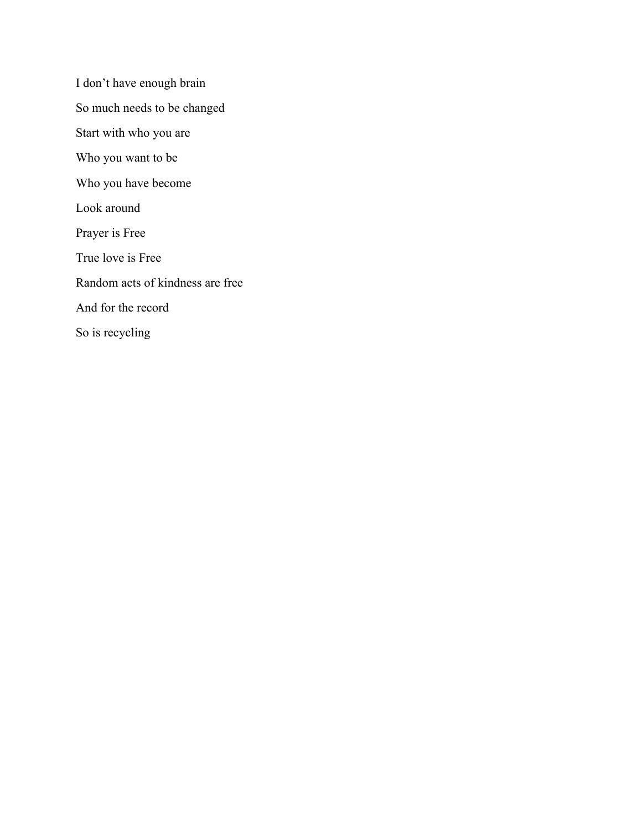I don't have enough brain So much needs to be changed Start with who you are Who you want to be Who you have become Look around Prayer is Free True love is Free Random acts of kindness are free And for the record So is recycling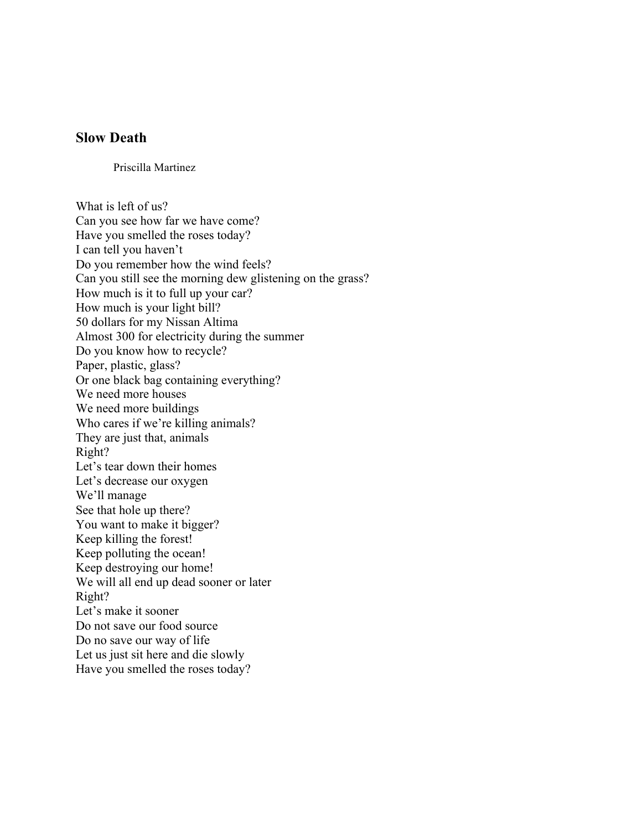## **Slow Death**

Priscilla Martinez

What is left of us? Can you see how far we have come? Have you smelled the roses today? I can tell you haven't Do you remember how the wind feels? Can you still see the morning dew glistening on the grass? How much is it to full up your car? How much is your light bill? 50 dollars for my Nissan Altima Almost 300 for electricity during the summer Do you know how to recycle? Paper, plastic, glass? Or one black bag containing everything? We need more houses We need more buildings Who cares if we're killing animals? They are just that, animals Right? Let's tear down their homes Let's decrease our oxygen We'll manage See that hole up there? You want to make it bigger? Keep killing the forest! Keep polluting the ocean! Keep destroying our home! We will all end up dead sooner or later Right? Let's make it sooner Do not save our food source Do no save our way of life Let us just sit here and die slowly Have you smelled the roses today?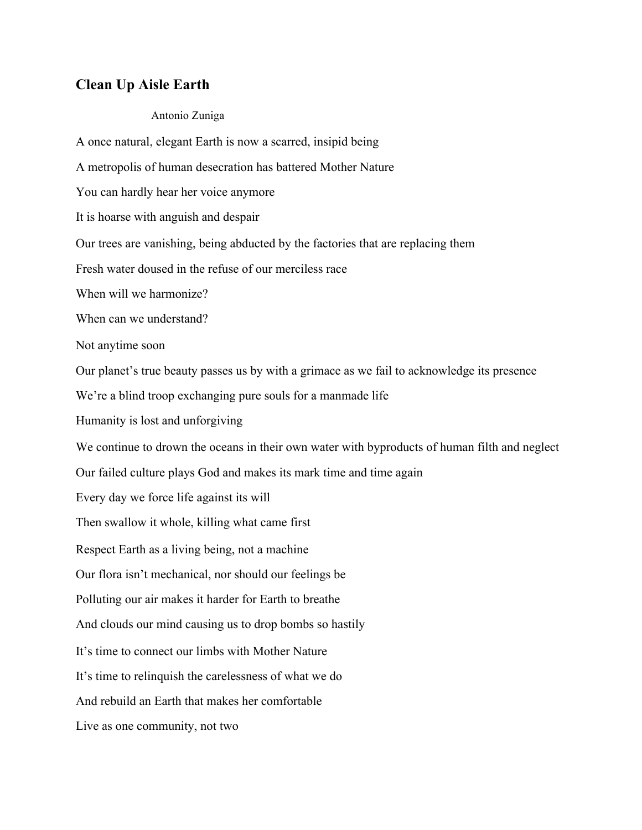# **Clean Up Aisle Earth**

### Antonio Zuniga

A once natural, elegant Earth is now a scarred, insipid being A metropolis of human desecration has battered Mother Nature You can hardly hear her voice anymore It is hoarse with anguish and despair Our trees are vanishing, being abducted by the factories that are replacing them Fresh water doused in the refuse of our merciless race When will we harmonize? When can we understand? Not anytime soon Our planet's true beauty passes us by with a grimace as we fail to acknowledge its presence We're a blind troop exchanging pure souls for a manmade life Humanity is lost and unforgiving We continue to drown the oceans in their own water with byproducts of human filth and neglect Our failed culture plays God and makes its mark time and time again Every day we force life against its will Then swallow it whole, killing what came first Respect Earth as a living being, not a machine Our flora isn't mechanical, nor should our feelings be Polluting our air makes it harder for Earth to breathe And clouds our mind causing us to drop bombs so hastily It's time to connect our limbs with Mother Nature It's time to relinquish the carelessness of what we do And rebuild an Earth that makes her comfortable Live as one community, not two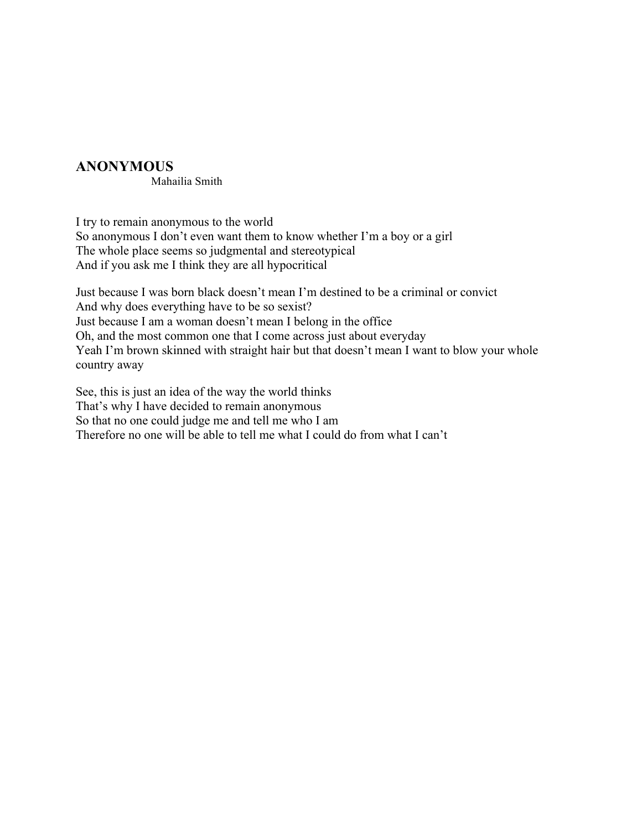# **ANONYMOUS**

Mahailia Smith

I try to remain anonymous to the world So anonymous I don't even want them to know whether I'm a boy or a girl The whole place seems so judgmental and stereotypical And if you ask me I think they are all hypocritical

Just because I was born black doesn't mean I'm destined to be a criminal or convict And why does everything have to be so sexist? Just because I am a woman doesn't mean I belong in the office Oh, and the most common one that I come across just about everyday Yeah I'm brown skinned with straight hair but that doesn't mean I want to blow your whole country away

See, this is just an idea of the way the world thinks That's why I have decided to remain anonymous So that no one could judge me and tell me who I am Therefore no one will be able to tell me what I could do from what I can't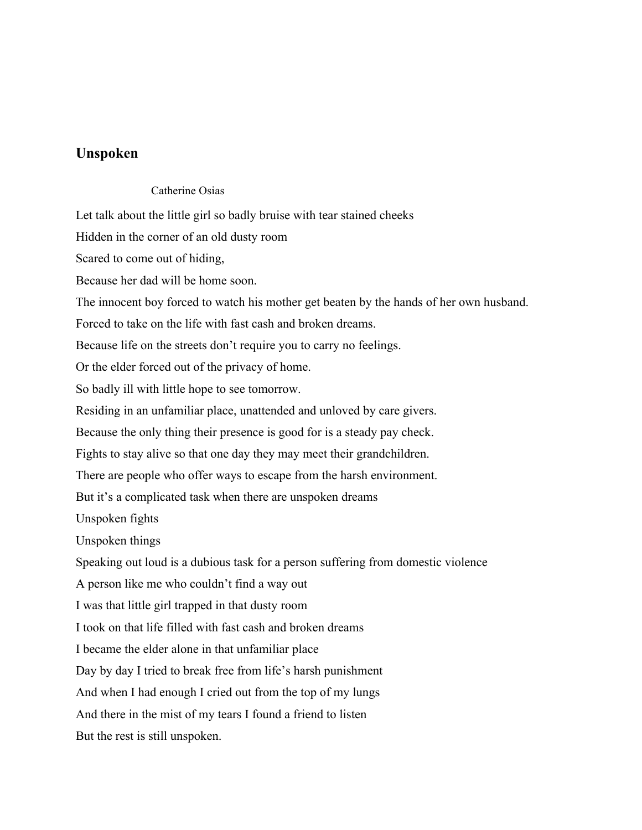### **Unspoken**

### Catherine Osias

Let talk about the little girl so badly bruise with tear stained cheeks

Hidden in the corner of an old dusty room

Scared to come out of hiding,

Because her dad will be home soon.

The innocent boy forced to watch his mother get beaten by the hands of her own husband.

Forced to take on the life with fast cash and broken dreams.

Because life on the streets don't require you to carry no feelings.

Or the elder forced out of the privacy of home.

So badly ill with little hope to see tomorrow.

Residing in an unfamiliar place, unattended and unloved by care givers.

Because the only thing their presence is good for is a steady pay check.

Fights to stay alive so that one day they may meet their grandchildren.

There are people who offer ways to escape from the harsh environment.

But it's a complicated task when there are unspoken dreams

Unspoken fights

Unspoken things

Speaking out loud is a dubious task for a person suffering from domestic violence

A person like me who couldn't find a way out

I was that little girl trapped in that dusty room

I took on that life filled with fast cash and broken dreams

I became the elder alone in that unfamiliar place

Day by day I tried to break free from life's harsh punishment

And when I had enough I cried out from the top of my lungs

And there in the mist of my tears I found a friend to listen

But the rest is still unspoken.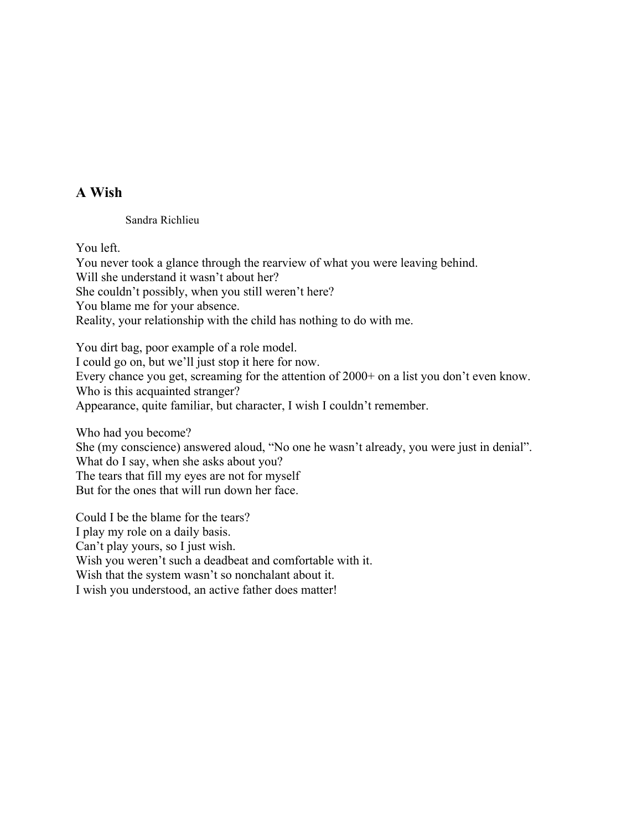# **A Wish**

Sandra Richlieu

You left.

You never took a glance through the rearview of what you were leaving behind. Will she understand it wasn't about her? She couldn't possibly, when you still weren't here? You blame me for your absence. Reality, your relationship with the child has nothing to do with me.

You dirt bag, poor example of a role model. I could go on, but we'll just stop it here for now. Every chance you get, screaming for the attention of 2000+ on a list you don't even know. Who is this acquainted stranger? Appearance, quite familiar, but character, I wish I couldn't remember.

Who had you become?

She (my conscience) answered aloud, "No one he wasn't already, you were just in denial". What do I say, when she asks about you? The tears that fill my eyes are not for myself But for the ones that will run down her face.

Could I be the blame for the tears? I play my role on a daily basis. Can't play yours, so I just wish. Wish you weren't such a deadbeat and comfortable with it. Wish that the system wasn't so nonchalant about it. I wish you understood, an active father does matter!